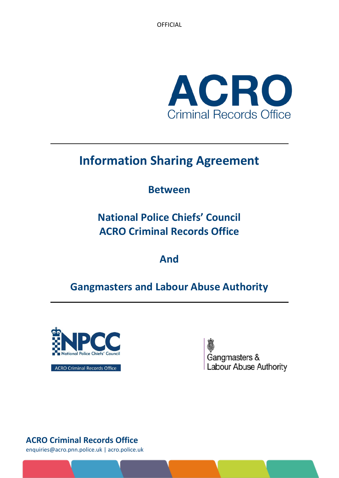OFFICIAL



# **Information Sharing Agreement**

# **Between**

**National Police Chiefs' Council ACRO Criminal Records Office**

**And**

# **Gangmasters and Labour Abuse Authority**



Gangmasters & Labour Abuse Authority

**ACRO Criminal Records Office** 

**ACRO Criminal Records Office**

enquiries@acro.pnn.police.uk | acro.police.uk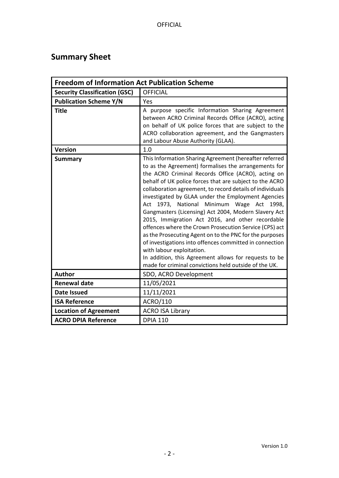# <span id="page-1-0"></span>**Summary Sheet**

| <b>Freedom of Information Act Publication Scheme</b> |                                                                                                                                                                                                                                                                                                                                                                                                                                                                                                                                                                                                                                                                                                                                                                                                                                               |  |  |  |
|------------------------------------------------------|-----------------------------------------------------------------------------------------------------------------------------------------------------------------------------------------------------------------------------------------------------------------------------------------------------------------------------------------------------------------------------------------------------------------------------------------------------------------------------------------------------------------------------------------------------------------------------------------------------------------------------------------------------------------------------------------------------------------------------------------------------------------------------------------------------------------------------------------------|--|--|--|
| <b>Security Classification (GSC)</b>                 | <b>OFFICIAL</b>                                                                                                                                                                                                                                                                                                                                                                                                                                                                                                                                                                                                                                                                                                                                                                                                                               |  |  |  |
| <b>Publication Scheme Y/N</b>                        | Yes                                                                                                                                                                                                                                                                                                                                                                                                                                                                                                                                                                                                                                                                                                                                                                                                                                           |  |  |  |
| <b>Title</b>                                         | A purpose specific Information Sharing Agreement<br>between ACRO Criminal Records Office (ACRO), acting<br>on behalf of UK police forces that are subject to the<br>ACRO collaboration agreement, and the Gangmasters<br>and Labour Abuse Authority (GLAA).                                                                                                                                                                                                                                                                                                                                                                                                                                                                                                                                                                                   |  |  |  |
| <b>Version</b>                                       | 1.0                                                                                                                                                                                                                                                                                                                                                                                                                                                                                                                                                                                                                                                                                                                                                                                                                                           |  |  |  |
| <b>Summary</b>                                       | This Information Sharing Agreement (hereafter referred<br>to as the Agreement) formalises the arrangements for<br>the ACRO Criminal Records Office (ACRO), acting on<br>behalf of UK police forces that are subject to the ACRO<br>collaboration agreement, to record details of individuals<br>investigated by GLAA under the Employment Agencies<br>Act 1973, National<br>Minimum Wage Act 1998,<br>Gangmasters (Licensing) Act 2004, Modern Slavery Act<br>2015, Immigration Act 2016, and other recordable<br>offences where the Crown Prosecution Service (CPS) act<br>as the Prosecuting Agent on to the PNC for the purposes<br>of investigations into offences committed in connection<br>with labour exploitation.<br>In addition, this Agreement allows for requests to be<br>made for criminal convictions held outside of the UK. |  |  |  |
| Author                                               | SDO, ACRO Development                                                                                                                                                                                                                                                                                                                                                                                                                                                                                                                                                                                                                                                                                                                                                                                                                         |  |  |  |
| <b>Renewal date</b>                                  | 11/05/2021                                                                                                                                                                                                                                                                                                                                                                                                                                                                                                                                                                                                                                                                                                                                                                                                                                    |  |  |  |
| <b>Date Issued</b>                                   | 11/11/2021                                                                                                                                                                                                                                                                                                                                                                                                                                                                                                                                                                                                                                                                                                                                                                                                                                    |  |  |  |
| <b>ISA Reference</b>                                 | ACRO/110                                                                                                                                                                                                                                                                                                                                                                                                                                                                                                                                                                                                                                                                                                                                                                                                                                      |  |  |  |
| <b>Location of Agreement</b>                         | <b>ACRO ISA Library</b>                                                                                                                                                                                                                                                                                                                                                                                                                                                                                                                                                                                                                                                                                                                                                                                                                       |  |  |  |
| <b>ACRO DPIA Reference</b>                           | <b>DPIA 110</b>                                                                                                                                                                                                                                                                                                                                                                                                                                                                                                                                                                                                                                                                                                                                                                                                                               |  |  |  |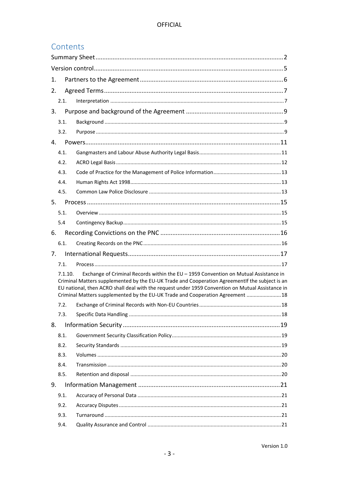# Contents

| 1. |         |                                                                                                                                                                                                                                                                                                                                                                              |  |  |  |
|----|---------|------------------------------------------------------------------------------------------------------------------------------------------------------------------------------------------------------------------------------------------------------------------------------------------------------------------------------------------------------------------------------|--|--|--|
| 2. |         |                                                                                                                                                                                                                                                                                                                                                                              |  |  |  |
|    | 2.1.    |                                                                                                                                                                                                                                                                                                                                                                              |  |  |  |
| 3. |         |                                                                                                                                                                                                                                                                                                                                                                              |  |  |  |
|    | 3.1.    |                                                                                                                                                                                                                                                                                                                                                                              |  |  |  |
|    | 3.2.    |                                                                                                                                                                                                                                                                                                                                                                              |  |  |  |
| 4. |         |                                                                                                                                                                                                                                                                                                                                                                              |  |  |  |
|    | 4.1.    |                                                                                                                                                                                                                                                                                                                                                                              |  |  |  |
|    | 4.2.    |                                                                                                                                                                                                                                                                                                                                                                              |  |  |  |
|    | 4.3.    |                                                                                                                                                                                                                                                                                                                                                                              |  |  |  |
|    | 4.4.    |                                                                                                                                                                                                                                                                                                                                                                              |  |  |  |
|    | 4.5.    |                                                                                                                                                                                                                                                                                                                                                                              |  |  |  |
| 5. |         |                                                                                                                                                                                                                                                                                                                                                                              |  |  |  |
|    | 5.1.    |                                                                                                                                                                                                                                                                                                                                                                              |  |  |  |
|    | 5.4     |                                                                                                                                                                                                                                                                                                                                                                              |  |  |  |
| 6. |         |                                                                                                                                                                                                                                                                                                                                                                              |  |  |  |
|    | 6.1.    |                                                                                                                                                                                                                                                                                                                                                                              |  |  |  |
| 7. |         |                                                                                                                                                                                                                                                                                                                                                                              |  |  |  |
|    | 7.1.    |                                                                                                                                                                                                                                                                                                                                                                              |  |  |  |
|    | 7.1.10. | Exchange of Criminal Records within the EU - 1959 Convention on Mutual Assistance in<br>Criminal Matters supplemented by the EU-UK Trade and Cooperation AgreementIf the subject is an<br>EU national, then ACRO shall deal with the request under 1959 Convention on Mutual Assistance in<br>Criminal Matters supplemented by the EU-UK Trade and Cooperation Agreement  18 |  |  |  |
|    | 7.2.    |                                                                                                                                                                                                                                                                                                                                                                              |  |  |  |
|    | 7.3.    |                                                                                                                                                                                                                                                                                                                                                                              |  |  |  |
| 8. |         |                                                                                                                                                                                                                                                                                                                                                                              |  |  |  |
|    | 8.1.    |                                                                                                                                                                                                                                                                                                                                                                              |  |  |  |
|    | 8.2.    |                                                                                                                                                                                                                                                                                                                                                                              |  |  |  |
|    | 8.3.    |                                                                                                                                                                                                                                                                                                                                                                              |  |  |  |
|    | 8.4.    |                                                                                                                                                                                                                                                                                                                                                                              |  |  |  |
|    | 8.5.    |                                                                                                                                                                                                                                                                                                                                                                              |  |  |  |
| 9. |         |                                                                                                                                                                                                                                                                                                                                                                              |  |  |  |
|    | 9.1.    |                                                                                                                                                                                                                                                                                                                                                                              |  |  |  |
|    | 9.2.    |                                                                                                                                                                                                                                                                                                                                                                              |  |  |  |
|    | 9.3.    |                                                                                                                                                                                                                                                                                                                                                                              |  |  |  |
|    | 9.4.    |                                                                                                                                                                                                                                                                                                                                                                              |  |  |  |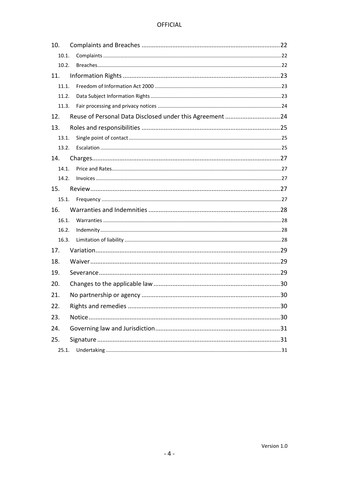#### **OFFICIAL**

| 10.                                                             |  |  |  |
|-----------------------------------------------------------------|--|--|--|
| 10.1.                                                           |  |  |  |
| 10.2.                                                           |  |  |  |
| 11.                                                             |  |  |  |
| 11.1.                                                           |  |  |  |
| 11.2.                                                           |  |  |  |
| 11.3.                                                           |  |  |  |
| Reuse of Personal Data Disclosed under this Agreement 24<br>12. |  |  |  |
| 13.                                                             |  |  |  |
| 13.1.                                                           |  |  |  |
| 13.2.                                                           |  |  |  |
| 14.                                                             |  |  |  |
| 14.1.                                                           |  |  |  |
| 14.2.                                                           |  |  |  |
| 15.                                                             |  |  |  |
|                                                                 |  |  |  |
| 16.                                                             |  |  |  |
| 16.1.                                                           |  |  |  |
| 16.2.                                                           |  |  |  |
| 16.3.                                                           |  |  |  |
| 17.                                                             |  |  |  |
| 18.                                                             |  |  |  |
| 19.                                                             |  |  |  |
| 20.                                                             |  |  |  |
| 21.                                                             |  |  |  |
| 22.                                                             |  |  |  |
| 23.                                                             |  |  |  |
| 24.                                                             |  |  |  |
| 25.                                                             |  |  |  |
| 25.1.                                                           |  |  |  |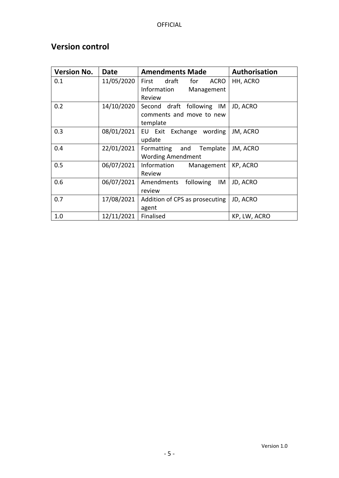# <span id="page-4-0"></span>**Version control**

| <b>Version No.</b> | Date       | <b>Amendments Made</b>               | Authorisation |
|--------------------|------------|--------------------------------------|---------------|
| 0.1                | 11/05/2020 | draft<br><b>ACRO</b><br>First<br>for | HH, ACRO      |
|                    |            | Information<br>Management            |               |
|                    |            | Review                               |               |
| 0.2                | 14/10/2020 | draft following IM<br>Second         | JD, ACRO      |
|                    |            | comments and move to new             |               |
|                    |            | template                             |               |
| 0.3                | 08/01/2021 | EU Exit Exchange<br>wording          | JM, ACRO      |
|                    |            | update                               |               |
| 0.4                | 22/01/2021 | Formatting and<br>Template           | JM, ACRO      |
|                    |            | <b>Wording Amendment</b>             |               |
| 0.5                | 06/07/2021 | Information<br>Management            | KP, ACRO      |
|                    |            | Review                               |               |
| 0.6                | 06/07/2021 | Amendments<br>following<br>IM        | JD, ACRO      |
|                    |            | review                               |               |
| 0.7                | 17/08/2021 | Addition of CPS as prosecuting       | JD, ACRO      |
|                    |            | agent                                |               |
| 1.0                | 12/11/2021 | Finalised                            | KP, LW, ACRO  |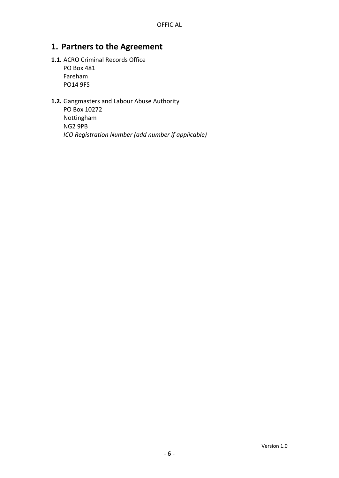### <span id="page-5-0"></span>**1. Partners to the Agreement**

#### **1.1.** ACRO Criminal Records Office

PO Box 481 Fareham PO14 9FS

# **1.2.** Gangmasters and Labour Abuse Authority

PO Box 10272 Nottingham NG2 9PB *ICO Registration Number (add number if applicable)*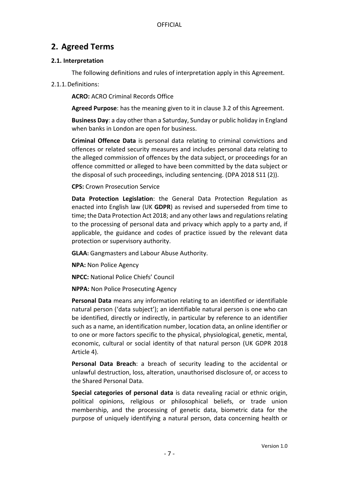## <span id="page-6-0"></span>**2. Agreed Terms**

#### <span id="page-6-1"></span>**2.1. Interpretation**

The following definitions and rules of interpretation apply in this Agreement.

2.1.1.Definitions:

**ACRO:** ACRO Criminal Records Office

**Agreed Purpose**: has the meaning given to it in clause 3.2 of this Agreement.

**Business Day**: a day other than a Saturday, Sunday or public holiday in England when banks in London are open for business.

**Criminal Offence Data** is personal data relating to criminal convictions and offences or related security measures and includes personal data relating to the alleged commission of offences by the data subject, or proceedings for an offence committed or alleged to have been committed by the data subject or the disposal of such proceedings, including sentencing. (DPA 2018 S11 (2)).

**CPS:** Crown Prosecution Service

**Data Protection Legislation**: the General Data Protection Regulation as enacted into English law (UK **GDPR**) as revised and superseded from time to time; the Data Protection Act 2018; and any other laws and regulations relating to the processing of personal data and privacy which apply to a party and, if applicable, the guidance and codes of practice issued by the relevant data protection or supervisory authority.

**GLAA:** Gangmasters and Labour Abuse Authority.

**NPA:** Non Police Agency

**NPCC:** National Police Chiefs' Council

**NPPA:** Non Police Prosecuting Agency

**Personal Data** means any information relating to an identified or identifiable natural person ('data subject'); an identifiable natural person is one who can be identified, directly or indirectly, in particular by reference to an identifier such as a name, an identification number, location data, an online identifier or to one or more factors specific to the physical, physiological, genetic, mental, economic, cultural or social identity of that natural person (UK GDPR 2018 Article 4).

**Personal Data Breach**: a breach of security leading to the accidental or unlawful destruction, loss, alteration, unauthorised disclosure of, or access to the Shared Personal Data.

**Special categories of personal data** is data revealing racial or ethnic origin, political opinions, religious or philosophical beliefs, or trade union membership, and the processing of genetic data, biometric data for the purpose of uniquely identifying a natural person, data concerning health or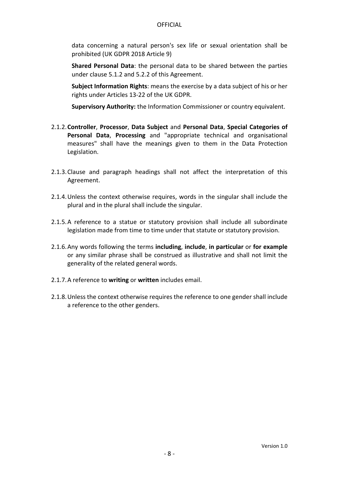data concerning a natural person's sex life or sexual orientation shall be prohibited (UK GDPR 2018 Article 9)

**Shared Personal Data**: the personal data to be shared between the parties under clause 5.1.2 and 5.2.2 of this Agreement.

**Subject Information Rights**: means the exercise by a data subject of his or her rights under Articles 13-22 of the UK GDPR.

**Supervisory Authority:** the Information Commissioner or country equivalent.

- 2.1.2.**Controller**, **Processor**, **Data Subject** and **Personal Data**, **Special Categories of Personal Data**, **Processing** and "appropriate technical and organisational measures" shall have the meanings given to them in the Data Protection Legislation.
- 2.1.3.Clause and paragraph headings shall not affect the interpretation of this Agreement.
- 2.1.4.Unless the context otherwise requires, words in the singular shall include the plural and in the plural shall include the singular.
- 2.1.5.A reference to a statue or statutory provision shall include all subordinate legislation made from time to time under that statute or statutory provision.
- 2.1.6.Any words following the terms **including**, **include**, **in particular** or **for example** or any similar phrase shall be construed as illustrative and shall not limit the generality of the related general words.
- 2.1.7.A reference to **writing** or **written** includes email.
- 2.1.8.Unless the context otherwise requires the reference to one gender shall include a reference to the other genders.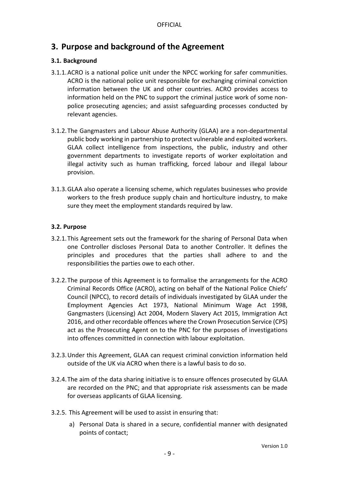# <span id="page-8-0"></span>**3. Purpose and background of the Agreement**

#### <span id="page-8-1"></span>**3.1. Background**

- 3.1.1.ACRO is a national police unit under the NPCC working for safer communities. ACRO is the national police unit responsible for exchanging criminal conviction information between the UK and other countries. ACRO provides access to information held on the PNC to support the criminal justice work of some nonpolice prosecuting agencies; and assist safeguarding processes conducted by relevant agencies.
- 3.1.2.The Gangmasters and Labour Abuse Authority (GLAA) are a non-departmental public body working in partnership to protect vulnerable and exploited workers. GLAA collect intelligence from inspections, the public, industry and other government departments to investigate reports of worker exploitation and illegal activity such as human trafficking, forced labour and illegal labour provision.
- 3.1.3.GLAA also operate a licensing scheme, which regulates businesses who provide workers to the fresh produce supply chain and horticulture industry, to make sure they meet the employment standards required by law.

#### <span id="page-8-2"></span>**3.2. Purpose**

- 3.2.1.This Agreement sets out the framework for the sharing of Personal Data when one Controller discloses Personal Data to another Controller. It defines the principles and procedures that the parties shall adhere to and the responsibilities the parties owe to each other.
- 3.2.2.The purpose of this Agreement is to formalise the arrangements for the ACRO Criminal Records Office (ACRO), acting on behalf of the National Police Chiefs' Council (NPCC), to record details of individuals investigated by GLAA under the Employment Agencies Act 1973, National Minimum Wage Act 1998, Gangmasters (Licensing) Act 2004, Modern Slavery Act 2015, Immigration Act 2016, and other recordable offences where the Crown Prosecution Service (CPS) act as the Prosecuting Agent on to the PNC for the purposes of investigations into offences committed in connection with labour exploitation.
- 3.2.3.Under this Agreement, GLAA can request criminal conviction information held outside of the UK via ACRO when there is a lawful basis to do so.
- 3.2.4.The aim of the data sharing initiative is to ensure offences prosecuted by GLAA are recorded on the PNC; and that appropriate risk assessments can be made for overseas applicants of GLAA licensing.
- 3.2.5. This Agreement will be used to assist in ensuring that:
	- a) Personal Data is shared in a secure, confidential manner with designated points of contact;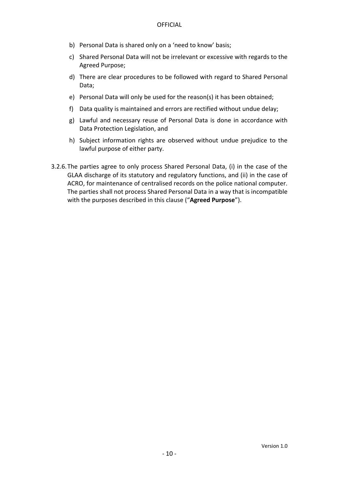- b) Personal Data is shared only on a 'need to know' basis;
- c) Shared Personal Data will not be irrelevant or excessive with regards to the Agreed Purpose;
- d) There are clear procedures to be followed with regard to Shared Personal Data;
- e) Personal Data will only be used for the reason(s) it has been obtained;
- f) Data quality is maintained and errors are rectified without undue delay;
- g) Lawful and necessary reuse of Personal Data is done in accordance with Data Protection Legislation, and
- h) Subject information rights are observed without undue prejudice to the lawful purpose of either party.
- 3.2.6.The parties agree to only process Shared Personal Data, (i) in the case of the GLAA discharge of its statutory and regulatory functions, and (ii) in the case of ACRO, for maintenance of centralised records on the police national computer. The parties shall not process Shared Personal Data in a way that is incompatible with the purposes described in this clause ("**Agreed Purpose**").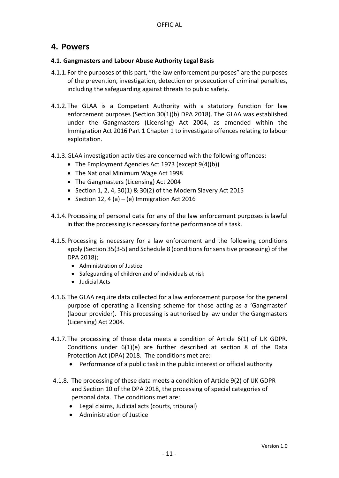#### <span id="page-10-0"></span>**4. Powers**

#### <span id="page-10-1"></span>**4.1. Gangmasters and Labour Abuse Authority Legal Basis**

- 4.1.1.For the purposes of this part, "the law enforcement purposes" are the purposes of the prevention, investigation, detection or prosecution of criminal penalties, including the safeguarding against threats to public safety.
- 4.1.2.The GLAA is a Competent Authority with a statutory function for law enforcement purposes (Section 30(1)(b) DPA 2018). The GLAA was established under the Gangmasters (Licensing) Act 2004, as amended within the Immigration Act 2016 Part 1 Chapter 1 to investigate offences relating to labour exploitation.
- 4.1.3.GLAA investigation activities are concerned with the following offences:
	- The Employment Agencies Act 1973 (except 9(4)(b))
	- The National Minimum Wage Act 1998
	- The Gangmasters (Licensing) Act 2004
	- Section 1, 2, 4, 30(1) & 30(2) of the Modern Slavery Act 2015
	- Section 12, 4 (a) (e) Immigration Act 2016
- 4.1.4.Processing of personal data for any of the law enforcement purposes is lawful in that the processing is necessary for the performance of a task.
- 4.1.5.Processing is necessary for a law enforcement and the following conditions apply (Section 35(3-5) and Schedule 8 (conditions for sensitive processing) of the DPA 2018);
	- Administration of Justice
	- Safeguarding of children and of individuals at risk
	- Judicial Acts
- 4.1.6.The GLAA require data collected for a law enforcement purpose for the general purpose of operating a licensing scheme for those acting as a 'Gangmaster' (labour provider). This processing is authorised by law under the Gangmasters (Licensing) Act 2004.
- 4.1.7.The processing of these data meets a condition of Article 6(1) of UK GDPR. Conditions under 6(1)(e) are further described at section 8 of the Data Protection Act (DPA) 2018. The conditions met are:
	- Performance of a public task in the public interest or official authority
- 4.1.8. The processing of these data meets a condition of Article 9(2) of UK GDPR and Section 10 of the DPA 2018, the processing of special categories of personal data. The conditions met are:
	- Legal claims, Judicial acts (courts, tribunal)
	- Administration of Justice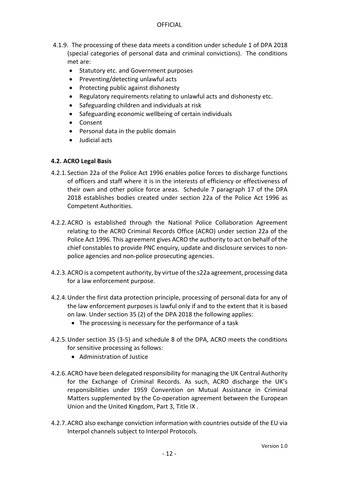#### **OFFICIAL**

- 4.1.9. The processing of these data meets a condition under schedule 1 of DPA 2018 (special categories of personal data and criminal convictions). The conditions met are:
	- Statutory etc. and Government purposes
	- Preventing/detecting unlawful acts
	- Protecting public against dishonesty
	- Regulatory requirements relating to unlawful acts and dishonesty etc.
	- Safeguarding children and individuals at risk
	- Safeguarding economic wellbeing of certain individuals
	- Consent
	- Personal data in the public domain
	- Judicial acts

#### <span id="page-11-0"></span>**4.2. ACRO Legal Basis**

- 4.2.1.Section 22a of the Police Act 1996 enables police forces to discharge functions of officers and staff where it is in the interests of efficiency or effectiveness of their own and other police force areas. Schedule 7 paragraph 17 of the DPA 2018 establishes bodies created under section 22a of the Police Act 1996 as Competent Authorities.
- 4.2.2.ACRO is established through the National Police Collaboration Agreement relating to the ACRO Criminal Records Office (ACRO) under section 22a of the Police Act 1996. This agreement gives ACRO the authority to act on behalf of the chief constables to provide PNC enquiry, update and disclosure services to nonpolice agencies and non-police prosecuting agencies.
- 4.2.3.ACRO is a competent authority, by virtue of the s22a agreement, processing data for a law enforcement purpose.
- 4.2.4.Under the first data protection principle, processing of personal data for any of the law enforcement purposes is lawful only if and to the extent that it is based on law. Under section 35 (2) of the DPA 2018 the following applies:
	- The processing is necessary for the performance of a task
- 4.2.5.Under section 35 (3-5) and schedule 8 of the DPA, ACRO meets the conditions for sensitive processing as follows:
	- Administration of Justice
- 4.2.6.ACRO have been delegated responsibility for managing the UK Central Authority for the Exchange of Criminal Records. As such, ACRO discharge the UK's responsibilities under 1959 Convention on Mutual Assistance in Criminal Matters supplemented by the Co-operation agreement between the European Union and the United Kingdom, Part 3, Title IX .
- 4.2.7.ACRO also exchange conviction information with countries outside of the EU via Interpol channels subject to Interpol Protocols.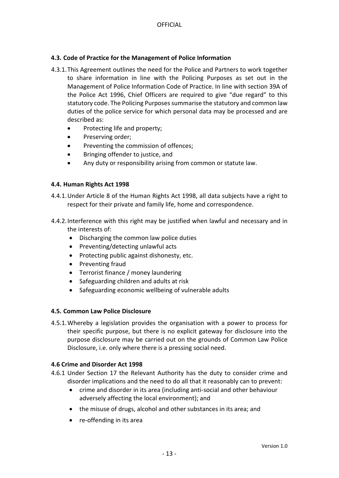#### <span id="page-12-0"></span>**4.3. Code of Practice for the Management of Police Information**

- 4.3.1.This Agreement outlines the need for the Police and Partners to work together to share information in line with the Policing Purposes as set out in the Management of Police Information Code of Practice. In line with section 39A of the Police Act 1996, Chief Officers are required to give "due regard" to this statutory code. The Policing Purposes summarise the statutory and common law duties of the police service for which personal data may be processed and are described as:
	- Protecting life and property;
	- Preserving order;
	- Preventing the commission of offences;
	- Bringing offender to justice, and
	- Any duty or responsibility arising from common or statute law.

#### <span id="page-12-1"></span>**4.4. Human Rights Act 1998**

- 4.4.1.Under Article 8 of the Human Rights Act 1998, all data subjects have a right to respect for their private and family life, home and correspondence.
- 4.4.2.Interference with this right may be justified when lawful and necessary and in the interests of:
	- Discharging the common law police duties
	- $\bullet$  Preventing/detecting unlawful acts
	- Protecting public against dishonesty, etc.
	- Preventing fraud
	- Terrorist finance / money laundering
	- Safeguarding children and adults at risk
	- Safeguarding economic wellbeing of vulnerable adults

#### <span id="page-12-2"></span>**4.5. Common Law Police Disclosure**

4.5.1.Whereby a legislation provides the organisation with a power to process for their specific purpose, but there is no explicit gateway for disclosure into the purpose disclosure may be carried out on the grounds of Common Law Police Disclosure, i.e. only where there is a pressing social need.

#### **4.6 Crime and Disorder Act 1998**

- 4.6.1 Under Section 17 the Relevant Authority has the duty to consider crime and disorder implications and the need to do all that it reasonably can to prevent:
	- crime and disorder in its area (including anti-social and other behaviour adversely affecting the local environment); and
	- the misuse of drugs, alcohol and other substances in its area; and
	- re-offending in its area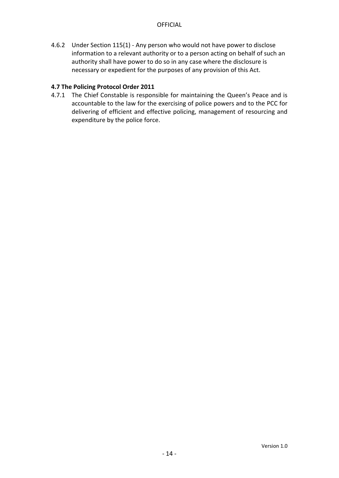4.6.2 Under Section 115(1) - Any person who would not have power to disclose information to a relevant authority or to a person acting on behalf of such an authority shall have power to do so in any case where the disclosure is necessary or expedient for the purposes of any provision of this Act.

#### **4.7 The Policing Protocol Order 2011**

4.7.1 The Chief Constable is responsible for maintaining the Queen's Peace and is accountable to the law for the exercising of police powers and to the PCC for delivering of efficient and effective policing, management of resourcing and expenditure by the police force.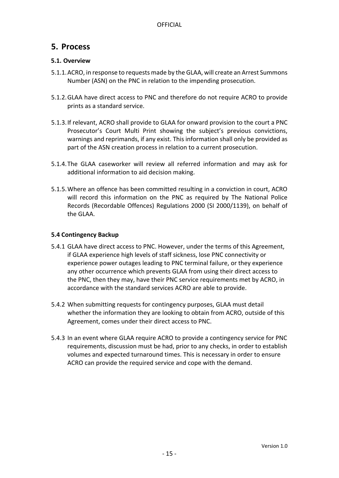### <span id="page-14-0"></span>**5. Process**

#### <span id="page-14-1"></span>**5.1. Overview**

- 5.1.1.ACRO, in response to requests made by the GLAA, will create an Arrest Summons Number (ASN) on the PNC in relation to the impending prosecution.
- 5.1.2.GLAA have direct access to PNC and therefore do not require ACRO to provide prints as a standard service.
- 5.1.3.If relevant, ACRO shall provide to GLAA for onward provision to the court a PNC Prosecutor's Court Multi Print showing the subject's previous convictions, warnings and reprimands, if any exist. This information shall only be provided as part of the ASN creation process in relation to a current prosecution.
- 5.1.4.The GLAA caseworker will review all referred information and may ask for additional information to aid decision making.
- 5.1.5.Where an offence has been committed resulting in a conviction in court, ACRO will record this information on the PNC as required by The National Police Records (Recordable Offences) Regulations 2000 (SI 2000/1139), on behalf of the GLAA.

#### <span id="page-14-2"></span>**5.4 Contingency Backup**

- 5.4.1 GLAA have direct access to PNC. However, under the terms of this Agreement, if GLAA experience high levels of staff sickness, lose PNC connectivity or experience power outages leading to PNC terminal failure, or they experience any other occurrence which prevents GLAA from using their direct access to the PNC, then they may, have their PNC service requirements met by ACRO, in accordance with the standard services ACRO are able to provide.
- 5.4.2 When submitting requests for contingency purposes, GLAA must detail whether the information they are looking to obtain from ACRO, outside of this Agreement, comes under their direct access to PNC.
- 5.4.3 In an event where GLAA require ACRO to provide a contingency service for PNC requirements, discussion must be had, prior to any checks, in order to establish volumes and expected turnaround times. This is necessary in order to ensure ACRO can provide the required service and cope with the demand.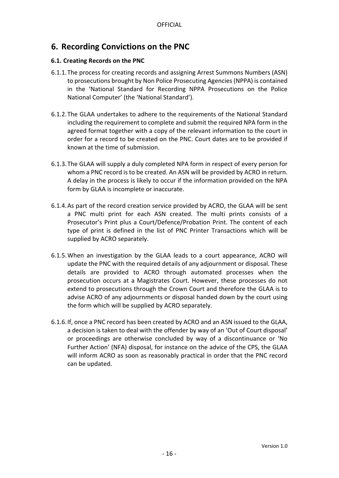# <span id="page-15-0"></span>**6. Recording Convictions on the PNC**

#### <span id="page-15-1"></span>**6.1. Creating Records on the PNC**

- 6.1.1.The process for creating records and assigning Arrest Summons Numbers (ASN) to prosecutions brought by Non Police Prosecuting Agencies (NPPA) is contained in the 'National Standard for Recording NPPA Prosecutions on the Police National Computer' (the 'National Standard').
- 6.1.2.The GLAA undertakes to adhere to the requirements of the National Standard including the requirement to complete and submit the required NPA form in the agreed format together with a copy of the relevant information to the court in order for a record to be created on the PNC. Court dates are to be provided if known at the time of submission.
- 6.1.3.The GLAA will supply a duly completed NPA form in respect of every person for whom a PNC record is to be created. An ASN will be provided by ACRO in return. A delay in the process is likely to occur if the information provided on the NPA form by GLAA is incomplete or inaccurate.
- 6.1.4.As part of the record creation service provided by ACRO, the GLAA will be sent a PNC multi print for each ASN created. The multi prints consists of a Prosecutor's Print plus a Court/Defence/Probation Print. The content of each type of print is defined in the list of PNC Printer Transactions which will be supplied by ACRO separately.
- 6.1.5.When an investigation by the GLAA leads to a court appearance, ACRO will update the PNC with the required details of any adjournment or disposal. These details are provided to ACRO through automated processes when the prosecution occurs at a Magistrates Court. However, these processes do not extend to prosecutions through the Crown Court and therefore the GLAA is to advise ACRO of any adjournments or disposal handed down by the court using the form which will be supplied by ACRO separately.
- 6.1.6.If, once a PNC record has been created by ACRO and an ASN issued to the GLAA, a decision is taken to deal with the offender by way of an 'Out of Court disposal' or proceedings are otherwise concluded by way of a discontinuance or 'No Further Action' (NFA) disposal, for instance on the advice of the CPS, the GLAA will inform ACRO as soon as reasonably practical in order that the PNC record can be updated.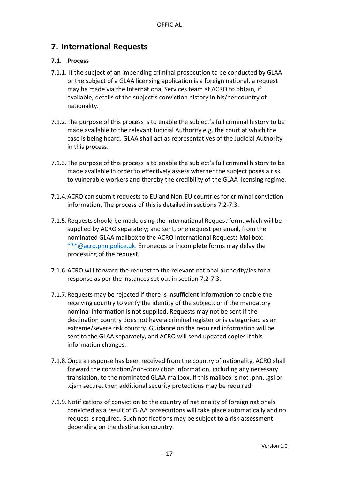# <span id="page-16-0"></span>**7. International Requests**

#### <span id="page-16-1"></span>**7.1. Process**

- 7.1.1. If the subject of an impending criminal prosecution to be conducted by GLAA or the subject of a GLAA licensing application is a foreign national, a request may be made via the International Services team at ACRO to obtain, if available, details of the subject's conviction history in his/her country of nationality.
- 7.1.2.The purpose of this process is to enable the subject's full criminal history to be made available to the relevant Judicial Authority e.g. the court at which the case is being heard. GLAA shall act as representatives of the Judicial Authority in this process.
- 7.1.3.The purpose of this process is to enable the subject's full criminal history to be made available in order to effectively assess whether the subject poses a risk to vulnerable workers and thereby the credibility of the GLAA licensing regime.
- 7.1.4.ACRO can submit requests to EU and Non-EU countries for criminal conviction information. The process of this is detailed in sections 7.2-7.3.
- 7.1.5.Requests should be made using the International Request form, which will be supplied by ACRO separately; and sent, one request per email, from the nominated GLAA mailbox to the ACRO International Requests Mailbox: [\\*\\*\\*@acro.pnn.police.uk.](mailto:***@acro.pnn.police.uk) Erroneous or incomplete forms may delay the processing of the request.
- 7.1.6.ACRO will forward the request to the relevant national authority/ies for a response as per the instances set out in section 7.2-7.3.
- 7.1.7.Requests may be rejected if there is insufficient information to enable the receiving country to verify the identity of the subject, or if the mandatory nominal information is not supplied. Requests may not be sent if the destination country does not have a criminal register or is categorised as an extreme/severe risk country. Guidance on the required information will be sent to the GLAA separately, and ACRO will send updated copies if this information changes.
- 7.1.8.Once a response has been received from the country of nationality, ACRO shall forward the conviction/non-conviction information, including any necessary translation, to the nominated GLAA mailbox. If this mailbox is not .pnn, .gsi or .cjsm secure, then additional security protections may be required.
- 7.1.9.Notifications of conviction to the country of nationality of foreign nationals convicted as a result of GLAA prosecutions will take place automatically and no request is required. Such notifications may be subject to a risk assessment depending on the destination country.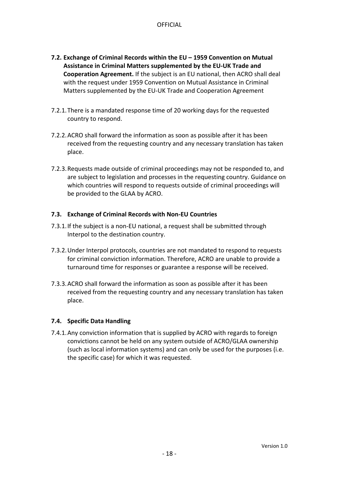- <span id="page-17-0"></span>**7.2. Exchange of Criminal Records within the EU – 1959 Convention on Mutual Assistance in Criminal Matters supplemented by the EU-UK Trade and Cooperation Agreement.** If the subject is an EU national, then ACRO shall deal with the request under 1959 Convention on Mutual Assistance in Criminal Matters supplemented by the EU-UK Trade and Cooperation Agreement
- 7.2.1.There is a mandated response time of 20 working days for the requested country to respond.
- 7.2.2.ACRO shall forward the information as soon as possible after it has been received from the requesting country and any necessary translation has taken place.
- 7.2.3.Requests made outside of criminal proceedings may not be responded to, and are subject to legislation and processes in the requesting country. Guidance on which countries will respond to requests outside of criminal proceedings will be provided to the GLAA by ACRO.

#### <span id="page-17-1"></span>**7.3. Exchange of Criminal Records with Non-EU Countries**

- 7.3.1.If the subject is a non-EU national, a request shall be submitted through Interpol to the destination country.
- 7.3.2.Under Interpol protocols, countries are not mandated to respond to requests for criminal conviction information. Therefore, ACRO are unable to provide a turnaround time for responses or guarantee a response will be received.
- 7.3.3.ACRO shall forward the information as soon as possible after it has been received from the requesting country and any necessary translation has taken place.

#### <span id="page-17-2"></span>**7.4. Specific Data Handling**

7.4.1.Any conviction information that is supplied by ACRO with regards to foreign convictions cannot be held on any system outside of ACRO/GLAA ownership (such as local information systems) and can only be used for the purposes (i.e. the specific case) for which it was requested.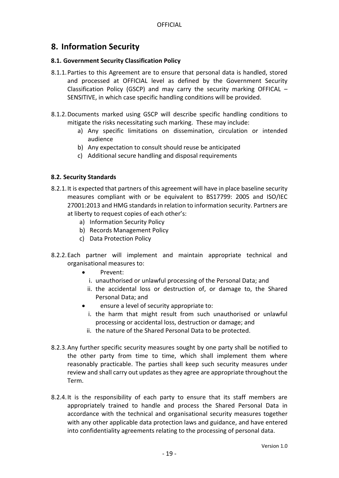### <span id="page-18-0"></span>**8. Information Security**

#### <span id="page-18-1"></span>**8.1. Government Security Classification Policy**

- 8.1.1.Parties to this Agreement are to ensure that personal data is handled, stored and processed at OFFICIAL level as defined by the Government Security Classification Policy (GSCP) and may carry the security marking OFFICAL – SENSITIVE, in which case specific handling conditions will be provided.
- 8.1.2.Documents marked using GSCP will describe specific handling conditions to mitigate the risks necessitating such marking. These may include:
	- a) Any specific limitations on dissemination, circulation or intended audience
	- b) Any expectation to consult should reuse be anticipated
	- c) Additional secure handling and disposal requirements

#### <span id="page-18-2"></span>**8.2. Security Standards**

- 8.2.1.It is expected that partners of this agreement will have in place baseline security measures compliant with or be equivalent to BS17799: 2005 and ISO/IEC 27001:2013 and HMG standards in relation to information security. Partners are at liberty to request copies of each other's:
	- a) Information Security Policy
	- b) Records Management Policy
	- c) Data Protection Policy
- 8.2.2.Each partner will implement and maintain appropriate technical and organisational measures to:
	- Prevent:
		- i. unauthorised or unlawful processing of the Personal Data; and
	- ii. the accidental loss or destruction of, or damage to, the Shared Personal Data; and
	- ensure a level of security appropriate to:
		- i. the harm that might result from such unauthorised or unlawful processing or accidental loss, destruction or damage; and
	- ii. the nature of the Shared Personal Data to be protected.
- 8.2.3.Any further specific security measures sought by one party shall be notified to the other party from time to time, which shall implement them where reasonably practicable. The parties shall keep such security measures under review and shall carry out updates as they agree are appropriate throughout the Term.
- 8.2.4.It is the responsibility of each party to ensure that its staff members are appropriately trained to handle and process the Shared Personal Data in accordance with the technical and organisational security measures together with any other applicable data protection laws and guidance, and have entered into confidentiality agreements relating to the processing of personal data.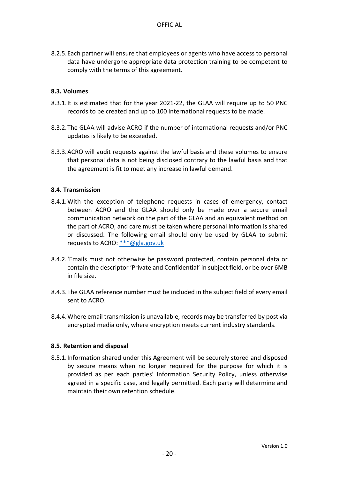8.2.5.Each partner will ensure that employees or agents who have access to personal data have undergone appropriate data protection training to be competent to comply with the terms of this agreement.

#### <span id="page-19-0"></span>**8.3. Volumes**

- 8.3.1.It is estimated that for the year 2021-22, the GLAA will require up to 50 PNC records to be created and up to 100 international requests to be made.
- 8.3.2.The GLAA will advise ACRO if the number of international requests and/or PNC updates is likely to be exceeded.
- 8.3.3.ACRO will audit requests against the lawful basis and these volumes to ensure that personal data is not being disclosed contrary to the lawful basis and that the agreement is fit to meet any increase in lawful demand.

#### <span id="page-19-1"></span>**8.4. Transmission**

- 8.4.1.With the exception of telephone requests in cases of emergency, contact between ACRO and the GLAA should only be made over a secure email communication network on the part of the GLAA and an equivalent method on the part of ACRO, and care must be taken where personal information is shared or discussed. The following email should only be used by GLAA to submit requests to ACRO: [\\*\\*\\*@gla.gov.uk](mailto:***@gla.gov.uk)
- 8.4.2.'Emails must not otherwise be password protected, contain personal data or contain the descriptor 'Private and Confidential' in subject field, or be over 6MB in file size.
- 8.4.3.The GLAA reference number must be included in the subject field of every email sent to ACRO.
- 8.4.4.Where email transmission is unavailable, records may be transferred by post via encrypted media only, where encryption meets current industry standards.

#### <span id="page-19-2"></span>**8.5. Retention and disposal**

8.5.1.Information shared under this Agreement will be securely stored and disposed by secure means when no longer required for the purpose for which it is provided as per each parties' Information Security Policy, unless otherwise agreed in a specific case, and legally permitted. Each party will determine and maintain their own retention schedule.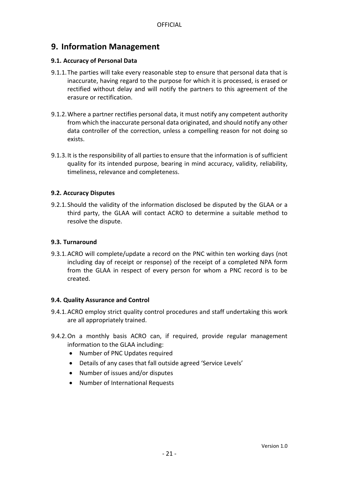### <span id="page-20-0"></span>**9. Information Management**

#### <span id="page-20-1"></span>**9.1. Accuracy of Personal Data**

- 9.1.1.The parties will take every reasonable step to ensure that personal data that is inaccurate, having regard to the purpose for which it is processed, is erased or rectified without delay and will notify the partners to this agreement of the erasure or rectification.
- 9.1.2.Where a partner rectifies personal data, it must notify any competent authority from which the inaccurate personal data originated, and should notify any other data controller of the correction, unless a compelling reason for not doing so exists.
- 9.1.3.It is the responsibility of all parties to ensure that the information is of sufficient quality for its intended purpose, bearing in mind accuracy, validity, reliability, timeliness, relevance and completeness.

#### <span id="page-20-2"></span>**9.2. Accuracy Disputes**

9.2.1.Should the validity of the information disclosed be disputed by the GLAA or a third party, the GLAA will contact ACRO to determine a suitable method to resolve the dispute.

#### <span id="page-20-3"></span>**9.3. Turnaround**

9.3.1.ACRO will complete/update a record on the PNC within ten working days (not including day of receipt or response) of the receipt of a completed NPA form from the GLAA in respect of every person for whom a PNC record is to be created.

#### <span id="page-20-4"></span>**9.4. Quality Assurance and Control**

- 9.4.1.ACRO employ strict quality control procedures and staff undertaking this work are all appropriately trained.
- 9.4.2.On a monthly basis ACRO can, if required, provide regular management information to the GLAA including:
	- Number of PNC Updates required
	- Details of any cases that fall outside agreed 'Service Levels'
	- Number of issues and/or disputes
	- Number of International Requests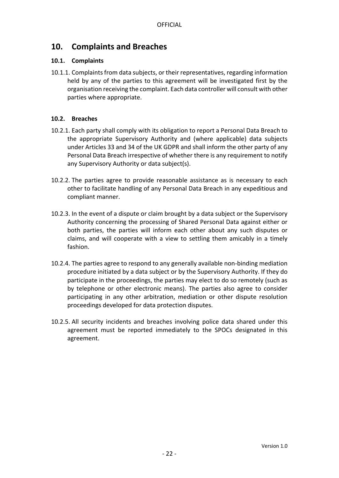## <span id="page-21-0"></span>**10. Complaints and Breaches**

#### <span id="page-21-1"></span>**10.1. Complaints**

10.1.1. Complaints from data subjects, or their representatives, regarding information held by any of the parties to this agreement will be investigated first by the organisation receiving the complaint. Each data controller will consult with other parties where appropriate.

#### <span id="page-21-2"></span>**10.2. Breaches**

- 10.2.1. Each party shall comply with its obligation to report a Personal Data Breach to the appropriate Supervisory Authority and (where applicable) data subjects under Articles 33 and 34 of the UK GDPR and shall inform the other party of any Personal Data Breach irrespective of whether there is any requirement to notify any Supervisory Authority or data subject(s).
- 10.2.2. The parties agree to provide reasonable assistance as is necessary to each other to facilitate handling of any Personal Data Breach in any expeditious and compliant manner.
- 10.2.3. In the event of a dispute or claim brought by a data subject or the Supervisory Authority concerning the processing of Shared Personal Data against either or both parties, the parties will inform each other about any such disputes or claims, and will cooperate with a view to settling them amicably in a timely fashion.
- 10.2.4. The parties agree to respond to any generally available non-binding mediation procedure initiated by a data subject or by the Supervisory Authority. If they do participate in the proceedings, the parties may elect to do so remotely (such as by telephone or other electronic means). The parties also agree to consider participating in any other arbitration, mediation or other dispute resolution proceedings developed for data protection disputes.
- 10.2.5. All security incidents and breaches involving police data shared under this agreement must be reported immediately to the SPOCs designated in this agreement.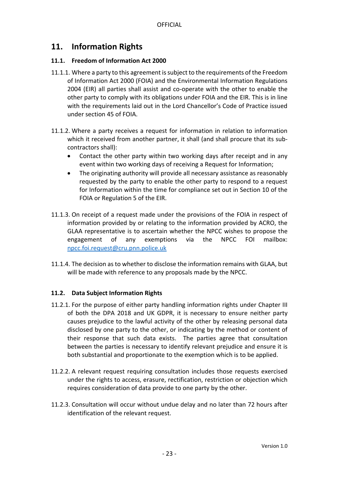### <span id="page-22-0"></span>**11. Information Rights**

#### <span id="page-22-1"></span>**11.1. Freedom of Information Act 2000**

- 11.1.1. Where a party to this agreement is subject to the requirements of the Freedom of Information Act 2000 (FOIA) and the Environmental Information Regulations 2004 (EIR) all parties shall assist and co-operate with the other to enable the other party to comply with its obligations under FOIA and the EIR. This is in line with the requirements laid out in the Lord Chancellor's Code of Practice issued under section 45 of FOIA.
- 11.1.2. Where a party receives a request for information in relation to information which it received from another partner, it shall (and shall procure that its subcontractors shall):
	- Contact the other party within two working days after receipt and in any event within two working days of receiving a Request for Information;
	- The originating authority will provide all necessary assistance as reasonably requested by the party to enable the other party to respond to a request for Information within the time for compliance set out in Section 10 of the FOIA or Regulation 5 of the EIR.
- 11.1.3. On receipt of a request made under the provisions of the FOIA in respect of information provided by or relating to the information provided by ACRO, the GLAA representative is to ascertain whether the NPCC wishes to propose the engagement of any exemptions via the NPCC FOI mailbox: [npcc.foi.request@cru.pnn.police.uk](mailto:npcc.foi.request@cru.pnn.police.uk)
- 11.1.4. The decision as to whether to disclose the information remains with GLAA, but will be made with reference to any proposals made by the NPCC.

#### <span id="page-22-2"></span>**11.2. Data Subject Information Rights**

- 11.2.1. For the purpose of either party handling information rights under Chapter III of both the DPA 2018 and UK GDPR, it is necessary to ensure neither party causes prejudice to the lawful activity of the other by releasing personal data disclosed by one party to the other, or indicating by the method or content of their response that such data exists. The parties agree that consultation between the parties is necessary to identify relevant prejudice and ensure it is both substantial and proportionate to the exemption which is to be applied.
- 11.2.2. A relevant request requiring consultation includes those requests exercised under the rights to access, erasure, rectification, restriction or objection which requires consideration of data provide to one party by the other.
- 11.2.3. Consultation will occur without undue delay and no later than 72 hours after identification of the relevant request.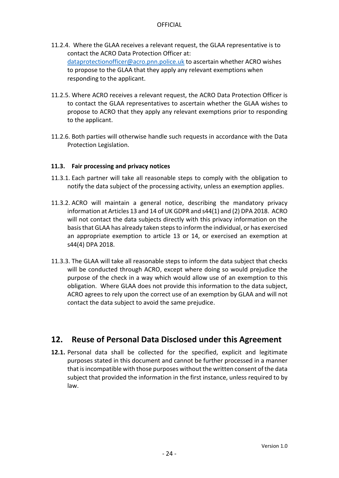- 11.2.4. Where the GLAA receives a relevant request, the GLAA representative is to contact the ACRO Data Protection Officer at: [dataprotectionofficer@acro.pnn.police.uk](mailto:dataprotectionofficer@acro.pnn.police.uk) to ascertain whether ACRO wishes to propose to the GLAA that they apply any relevant exemptions when responding to the applicant.
- 11.2.5. Where ACRO receives a relevant request, the ACRO Data Protection Officer is to contact the GLAA representatives to ascertain whether the GLAA wishes to propose to ACRO that they apply any relevant exemptions prior to responding to the applicant.
- 11.2.6. Both parties will otherwise handle such requests in accordance with the Data Protection Legislation.

#### <span id="page-23-0"></span>**11.3. Fair processing and privacy notices**

- 11.3.1. Each partner will take all reasonable steps to comply with the obligation to notify the data subject of the processing activity, unless an exemption applies.
- 11.3.2. ACRO will maintain a general notice, describing the mandatory privacy information at Articles 13 and 14 of UK GDPR and s44(1) and (2) DPA 2018. ACRO will not contact the data subjects directly with this privacy information on the basis that GLAA has already taken steps to inform the individual, or has exercised an appropriate exemption to article 13 or 14, or exercised an exemption at s44(4) DPA 2018.
- 11.3.3. The GLAA will take all reasonable steps to inform the data subject that checks will be conducted through ACRO, except where doing so would prejudice the purpose of the check in a way which would allow use of an exemption to this obligation. Where GLAA does not provide this information to the data subject, ACRO agrees to rely upon the correct use of an exemption by GLAA and will not contact the data subject to avoid the same prejudice.

# <span id="page-23-1"></span>**12. Reuse of Personal Data Disclosed under this Agreement**

**12.1.** Personal data shall be collected for the specified, explicit and legitimate purposes stated in this document and cannot be further processed in a manner that is incompatible with those purposes without the written consent of the data subject that provided the information in the first instance, unless required to by law.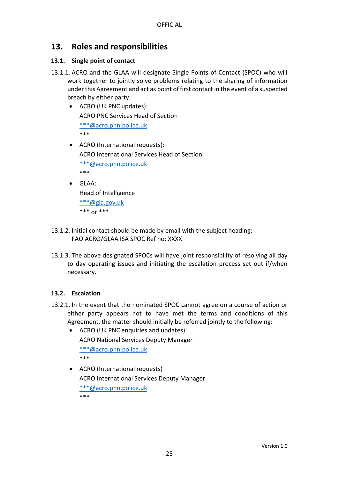## <span id="page-24-0"></span>**13. Roles and responsibilities**

#### <span id="page-24-1"></span>**13.1. Single point of contact**

- 13.1.1. ACRO and the GLAA will designate Single Points of Contact (SPOC) who will work together to jointly solve problems relating to the sharing of information under this Agreement and act as point of first contact in the event of a suspected breach by either party.
	- ACRO (UK PNC updates): ACRO PNC Services Head of Section [\\*\\*\\*@acro.pnn.police.uk](mailto:***@acro.pnn.police.uk) \*\*\*
	- ACRO (International requests): ACRO International Services Head of Section [\\*\\*\\*@acro.pnn.police.uk](mailto:***@acro.pnn.police.uk) \*\*\*
	- GLAA:

Head of Intelligence [\\*\\*\\*@gla.gov.uk](mailto:***@gla.gov.uk) \*\*\* or \*\*\*

- 13.1.2. Initial contact should be made by email with the subject heading: FAO ACRO/GLAA ISA SPOC Ref no: XXXX
- 13.1.3. The above designated SPOCs will have joint responsibility of resolving all day to day operating issues and initiating the escalation process set out if/when necessary.

#### <span id="page-24-2"></span>**13.2. Escalation**

- 13.2.1. In the event that the nominated SPOC cannot agree on a course of action or either party appears not to have met the terms and conditions of this Agreement, the matter should initially be referred jointly to the following:
	- ACRO (UK PNC enquiries and updates): ACRO National Services Deputy Manager [\\*\\*\\*@acro.pnn.police.uk](mailto:***@acro.pnn.police.uk) \*\*\*
	- ACRO (International requests) ACRO International Services Deputy Manager [\\*\\*\\*@acro.pnn.police.uk](mailto:***@acro.pnn.police.uk) \*\*\*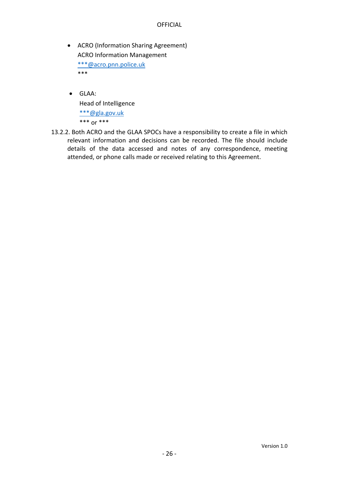- ACRO (Information Sharing Agreement) ACRO Information Management [\\*\\*\\*@acro.pnn.police.uk](mailto:***@acro.pnn.police.uk) \*\*\*
- GLAA: Head of Intelligence [\\*\\*\\*@gla.gov.uk](mailto:***@gla.gov.uk) \*\*\* or \*\*\*
- 13.2.2. Both ACRO and the GLAA SPOCs have a responsibility to create a file in which relevant information and decisions can be recorded. The file should include details of the data accessed and notes of any correspondence, meeting attended, or phone calls made or received relating to this Agreement.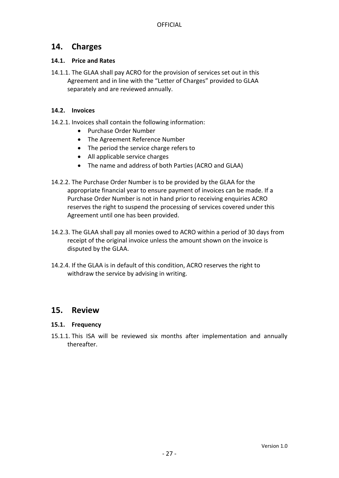### <span id="page-26-0"></span>**14. Charges**

#### <span id="page-26-1"></span>**14.1. Price and Rates**

14.1.1. The GLAA shall pay ACRO for the provision of services set out in this Agreement and in line with the "Letter of Charges" provided to GLAA separately and are reviewed annually.

#### <span id="page-26-2"></span>**14.2. Invoices**

- 14.2.1. Invoices shall contain the following information:
	- Purchase Order Number
	- The Agreement Reference Number
	- The period the service charge refers to
	- All applicable service charges
	- The name and address of both Parties (ACRO and GLAA)
- 14.2.2. The Purchase Order Number is to be provided by the GLAA for the appropriate financial year to ensure payment of invoices can be made. If a Purchase Order Number is not in hand prior to receiving enquiries ACRO reserves the right to suspend the processing of services covered under this Agreement until one has been provided.
- 14.2.3. The GLAA shall pay all monies owed to ACRO within a period of 30 days from receipt of the original invoice unless the amount shown on the invoice is disputed by the GLAA.
- 14.2.4. If the GLAA is in default of this condition, ACRO reserves the right to withdraw the service by advising in writing.

### <span id="page-26-3"></span>**15. Review**

#### <span id="page-26-4"></span>**15.1. Frequency**

15.1.1. This ISA will be reviewed six months after implementation and annually thereafter.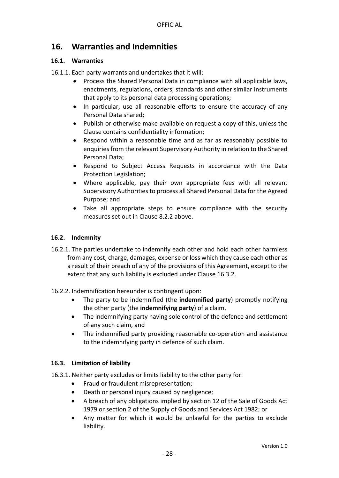# <span id="page-27-0"></span>**16. Warranties and Indemnities**

#### <span id="page-27-1"></span>**16.1. Warranties**

16.1.1. Each party warrants and undertakes that it will:

- Process the Shared Personal Data in compliance with all applicable laws, enactments, regulations, orders, standards and other similar instruments that apply to its personal data processing operations;
- In particular, use all reasonable efforts to ensure the accuracy of any Personal Data shared;
- Publish or otherwise make available on request a copy of this, unless the Clause contains confidentiality information;
- Respond within a reasonable time and as far as reasonably possible to enquiries from the relevant Supervisory Authority in relation to the Shared Personal Data;
- Respond to Subject Access Requests in accordance with the Data Protection Legislation;
- Where applicable, pay their own appropriate fees with all relevant Supervisory Authorities to process all Shared Personal Data for the Agreed Purpose; and
- Take all appropriate steps to ensure compliance with the security measures set out in Clause 8.2.2 above.

#### <span id="page-27-2"></span>**16.2. Indemnity**

- 16.2.1. The parties undertake to indemnify each other and hold each other harmless from any cost, charge, damages, expense or loss which they cause each other as a result of their breach of any of the provisions of this Agreement, except to the extent that any such liability is excluded under Clause 16.3.2.
- 16.2.2. Indemnification hereunder is contingent upon:
	- The party to be indemnified (the **indemnified party**) promptly notifying the other party (the **indemnifying party**) of a claim,
	- The indemnifying party having sole control of the defence and settlement of any such claim, and
	- The indemnified party providing reasonable co-operation and assistance to the indemnifying party in defence of such claim.

#### <span id="page-27-3"></span>**16.3. Limitation of liability**

- 16.3.1. Neither party excludes or limits liability to the other party for:
	- **•** Fraud or fraudulent misrepresentation;
	- Death or personal injury caused by negligence;
	- A breach of any obligations implied by section 12 of the Sale of Goods Act 1979 or section 2 of the Supply of Goods and Services Act 1982; or
	- Any matter for which it would be unlawful for the parties to exclude liability.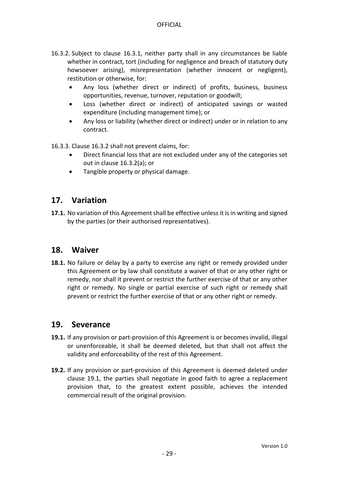- 16.3.2. Subject to clause 16.3.1, neither party shall in any circumstances be liable whether in contract, tort (including for negligence and breach of statutory duty howsoever arising), misrepresentation (whether innocent or negligent), restitution or otherwise, for:
	- Any loss (whether direct or indirect) of profits, business, business opportunities, revenue, turnover, reputation or goodwill;
	- Loss (whether direct or indirect) of anticipated savings or wasted expenditure (including management time); or
	- Any loss or liability (whether direct or indirect) under or in relation to any contract.

16.3.3. Clause 16.3.2 shall not prevent claims, for:

- Direct financial loss that are not excluded under any of the categories set out in clause 16.3.2(a); or
- Tangible property or physical damage.

### <span id="page-28-0"></span>**17. Variation**

**17.1.** No variation of this Agreement shall be effective unless it is in writing and signed by the parties (or their authorised representatives).

#### <span id="page-28-1"></span>**18. Waiver**

**18.1.** No failure or delay by a party to exercise any right or remedy provided under this Agreement or by law shall constitute a waiver of that or any other right or remedy, nor shall it prevent or restrict the further exercise of that or any other right or remedy. No single or partial exercise of such right or remedy shall prevent or restrict the further exercise of that or any other right or remedy.

#### <span id="page-28-2"></span>**19. Severance**

- <span id="page-28-3"></span>**19.1.** If any provision or part-provision of this Agreement is or becomes invalid, illegal or unenforceable, it shall be deemed deleted, but that shall not affect the validity and enforceability of the rest of this Agreement.
- **19.2.** If any provision or part-provision of this Agreement is deemed deleted under clause [19.1,](#page-28-3) the parties shall negotiate in good faith to agree a replacement provision that, to the greatest extent possible, achieves the intended commercial result of the original provision.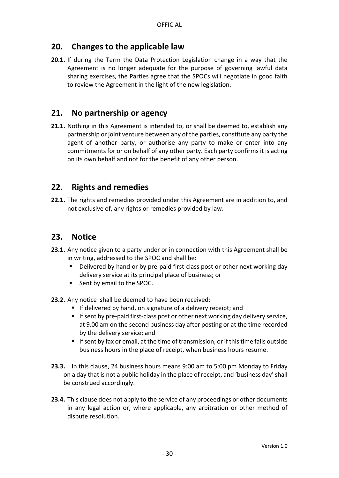## <span id="page-29-0"></span>**20. Changes to the applicable law**

**20.1.** If during the Term the Data Protection Legislation change in a way that the Agreement is no longer adequate for the purpose of governing lawful data sharing exercises, the Parties agree that the SPOCs will negotiate in good faith to review the Agreement in the light of the new legislation.

## <span id="page-29-1"></span>**21. No partnership or agency**

**21.1.** Nothing in this Agreement is intended to, or shall be deemed to, establish any partnership or joint venture between any of the parties, constitute any party the agent of another party, or authorise any party to make or enter into any commitments for or on behalf of any other party. Each party confirms it is acting on its own behalf and not for the benefit of any other person.

## <span id="page-29-2"></span>**22. Rights and remedies**

**22.1.** The rights and remedies provided under this Agreement are in addition to, and not exclusive of, any rights or remedies provided by law.

# <span id="page-29-3"></span>**23. Notice**

- **23.1.** Any notice given to a party under or in connection with this Agreement shall be in writing, addressed to the SPOC and shall be:
	- Delivered by hand or by pre-paid first-class post or other next working day delivery service at its principal place of business; or
	- Sent by email to the SPOC.
- **23.2.** Any notice shall be deemed to have been received:
	- If delivered by hand, on signature of a delivery receipt; and
	- If sent by pre-paid first-class post or other next working day delivery service, at 9.00 am on the second business day after posting or at the time recorded by the delivery service; and
	- **If sent by fax or email, at the time of transmission, or if this time falls outside** business hours in the place of receipt, when business hours resume.
- **23.3.** In this clause, 24 business hours means 9:00 am to 5:00 pm Monday to Friday on a day that is not a public holiday in the place of receipt, and 'business day' shall be construed accordingly.
- **23.4.** This clause does not apply to the service of any proceedings or other documents in any legal action or, where applicable, any arbitration or other method of dispute resolution.